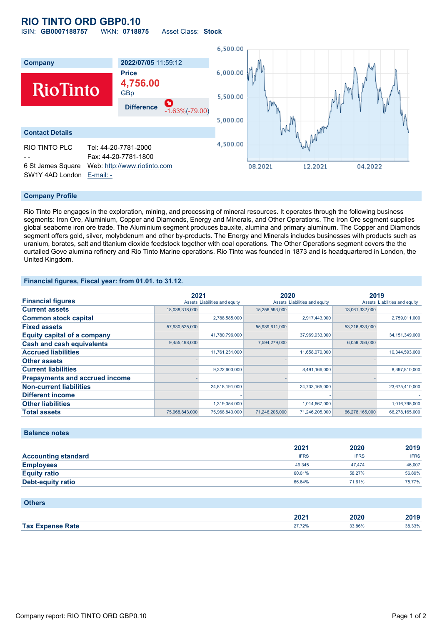## **RIO TINTO ORD GBP0.10** ISIN: **GB0007188757** WKN: **0718875** Asset Class: **Stock**

6,500.00 **Company 2022/07/05** 11:59:12 **Price** 6,000.00 **4,756.00 RioTinto** GBp 5,500.00 **Difference** -1.63%(-79.00) 5,000.00 **Contact Details** 4,500.00 RIO TINTO PLC Tel: 44-20-7781-2000 - - Fax: 44-20-7781-1800 6 St James Square Web: [http://www.riotinto.com](http://www.riotinto.com/) 08.2021 04.2022 12.2021 SW1Y 4AD London [E-mail: -](mailto:-)

### **Company Profile**

Rio Tinto Plc engages in the exploration, mining, and processing of mineral resources. It operates through the following business segments: Iron Ore, Aluminium, Copper and Diamonds, Energy and Minerals, and Other Operations. The Iron Ore segment supplies global seaborne iron ore trade. The Aluminium segment produces bauxite, alumina and primary aluminum. The Copper and Diamonds segment offers gold, silver, molybdenum and other by-products. The Energy and Minerals includes businesses with products such as uranium, borates, salt and titanium dioxide feedstock together with coal operations. The Other Operations segment covers the the curtailed Gove alumina refinery and Rio Tinto Marine operations. Rio Tinto was founded in 1873 and is headquartered in London, the United Kingdom.

### **Financial figures, Fiscal year: from 01.01. to 31.12.**

|                                       | 2021           |                               | 2020           |                               | 2019           |                               |
|---------------------------------------|----------------|-------------------------------|----------------|-------------------------------|----------------|-------------------------------|
| <b>Financial figures</b>              |                | Assets Liabilities and equity |                | Assets Liabilities and equity |                | Assets Liabilities and equity |
| <b>Current assets</b>                 | 18,038,318,000 |                               | 15,256,593,000 |                               | 13,061,332,000 |                               |
| <b>Common stock capital</b>           |                | 2,788,585,000                 |                | 2,917,443,000                 |                | 2,759,011,000                 |
| <b>Fixed assets</b>                   | 57,930,525,000 |                               | 55,989,611,000 |                               | 53,216,833,000 |                               |
| <b>Equity capital of a company</b>    |                | 41,780,796,000                |                | 37,969,933,000                |                | 34, 151, 349, 000             |
| <b>Cash and cash equivalents</b>      | 9,455,498,000  |                               | 7,594,279,000  |                               | 6,059,256,000  |                               |
| <b>Accrued liabilities</b>            |                | 11,761,231,000                |                | 11,658,070,000                |                | 10,344,593,000                |
| <b>Other assets</b>                   |                |                               |                |                               |                |                               |
| <b>Current liabilities</b>            |                | 9,322,603,000                 |                | 8,491,166,000                 |                | 8,397,810,000                 |
| <b>Prepayments and accrued income</b> |                |                               |                |                               |                |                               |
| <b>Non-current liabilities</b>        |                | 24,818,191,000                |                | 24,733,165,000                |                | 23,675,410,000                |
| <b>Different income</b>               |                |                               |                |                               |                |                               |
| <b>Other liabilities</b>              |                | 1,319,354,000                 |                | 1,014,667,000                 |                | 1,016,795,000                 |
| <b>Total assets</b>                   | 75,968,843,000 | 75,968,843,000                | 71,246,205,000 | 71,246,205,000                | 66,278,165,000 | 66,278,165,000                |

#### **Balance notes**

|                            | 2021        | 2020        | 2019        |
|----------------------------|-------------|-------------|-------------|
| <b>Accounting standard</b> | <b>IFRS</b> | <b>IFRS</b> | <b>IFRS</b> |
| <b>Employees</b>           | 49.345      | 47.474      | 46,007      |
| <b>Equity ratio</b>        | 60.01%      | 58.27%      | 56.89%      |
| <b>Debt-equity ratio</b>   | 66.64%      | 71.61%      | 75.77%      |

| <b>Others</b>           |        |        |        |
|-------------------------|--------|--------|--------|
|                         | 2021   | 2020   | 2019   |
| <b>Tax Expense Rate</b> | 27.72% | 33.86% | 38.33% |